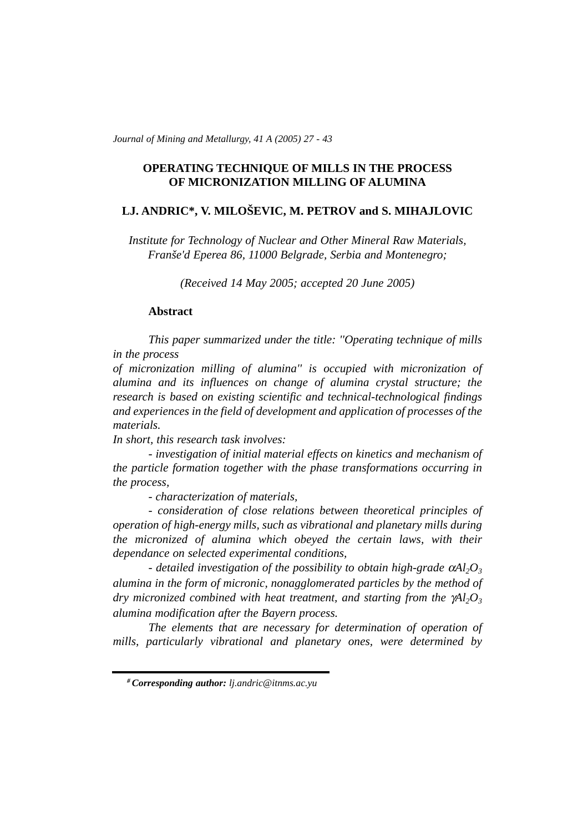*Journal of Mining and Metallurgy, 41 A (2005) 27 - 43* 

# **OPERATING TECHNIQUE OF MILLS IN THE PROCESS OF MICRONIZATION MILLING OF ALUMINA**

# **LJ. ANDRIC\*, V. MILOŠEVIC, M. PETROV and S. MIHAJLOVIC**

*Institute for Technology of Nuclear and Other Mineral Raw Materials, Franše'd Eperea 86, 11000 Belgrade, Serbia and Montenegro;* 

*(Received 14 May 2005; accepted 20 June 2005)*

#### **Abstract**

*This paper summarized under the title: ''Operating technique of mills in the process*

*of micronization milling of alumina'' is occupied with micronization of alumina and its influences on change of alumina crystal structure; the research is based on existing scientific and technical-technological findings and experiences in the field of development and application of processes of the materials.*

*In short, this research task involves:*

*- investigation of initial material effects on kinetics and mechanism of the particle formation together with the phase transformations occurring in the process,*

*- characterization of materials,*

*- consideration of close relations between theoretical principles of operation of high-energy mills, such as vibrational and planetary mills during the micronized of alumina which obeyed the certain laws, with their dependance on selected experimental conditions,*

*- detailed investigation of the possibility to obtain high-grade*  $αA<sub>1</sub>,O<sub>3</sub>$ *alumina in the form of micronic, nonagglomerated particles by the method of dry micronized combined with heat treatment, and starting from the*  $\gamma A l_2 O_3$ *alumina modification after the Bayern process.*

*The elements that are necessary for determination of operation of mills, particularly vibrational and planetary ones, were determined by*

*<sup>#</sup> Corresponding author: lj.andric@itnms.ac.yu*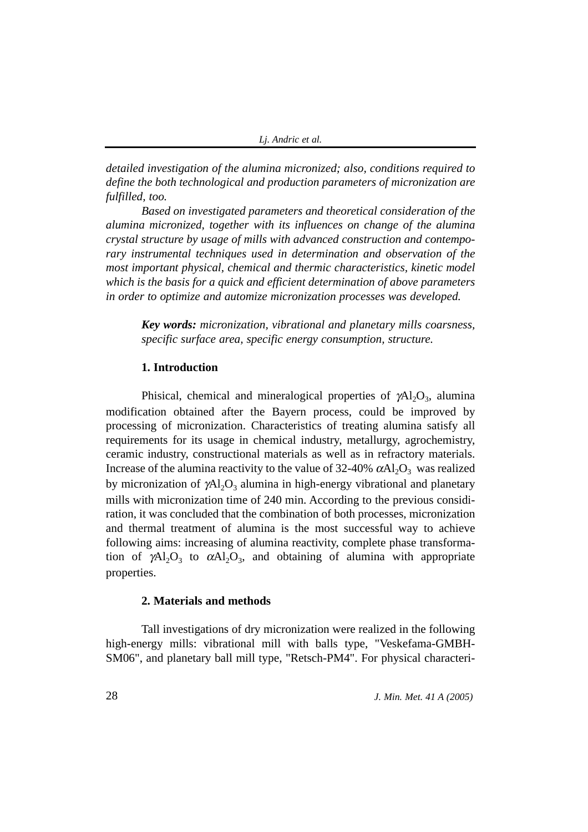*detailed investigation of the alumina micronized; also, conditions required to define the both technological and production parameters of micronization are fulfilled, too.*

*Based on investigated parameters and theoretical consideration of the alumina micronized, together with its influences on change of the alumina crystal structure by usage of mills with advanced construction and contemporary instrumental techniques used in determination and observation of the most important physical, chemical and thermic characteristics, kinetic model which is the basis for a quick and efficient determination of above parameters in order to optimize and automize micronization processes was developed.*

*Key words: micronization, vibrational and planetary mills coarsness, specific surface area, specific energy consumption, structure.*

# **1. Introduction**

Phisical, chemical and mineralogical properties of  $\gamma$ Al<sub>2</sub>O<sub>3</sub>, alumina modification obtained after the Bayern process, could be improved by processing of micronization. Characteristics of treating alumina satisfy all requirements for its usage in chemical industry, metallurgy, agrochemistry, ceramic industry, constructional materials as well as in refractory materials. Increase of the alumina reactivity to the value of 32-40%  $\alpha$ Al<sub>2</sub>O<sub>3</sub> was realized by micronization of  $\gamma$ Al<sub>2</sub>O<sub>3</sub> alumina in high-energy vibrational and planetary mills with micronization time of 240 min. According to the previous considiration, it was concluded that the combination of both processes, micronization and thermal treatment of alumina is the most successful way to achieve following aims: increasing of alumina reactivity, complete phase transformation of  $\gamma$ Al<sub>2</sub>O<sub>3</sub> to  $\alpha$ Al<sub>2</sub>O<sub>3</sub>, and obtaining of alumina with appropriate properties.

## **2. Materials and methods**

Tall investigations of dry micronization were realized in the following high-energy mills: vibrational mill with balls type, "Veskefama-GMBH-SM06", and planetary ball mill type, "Retsch-PM4". For physical characteri-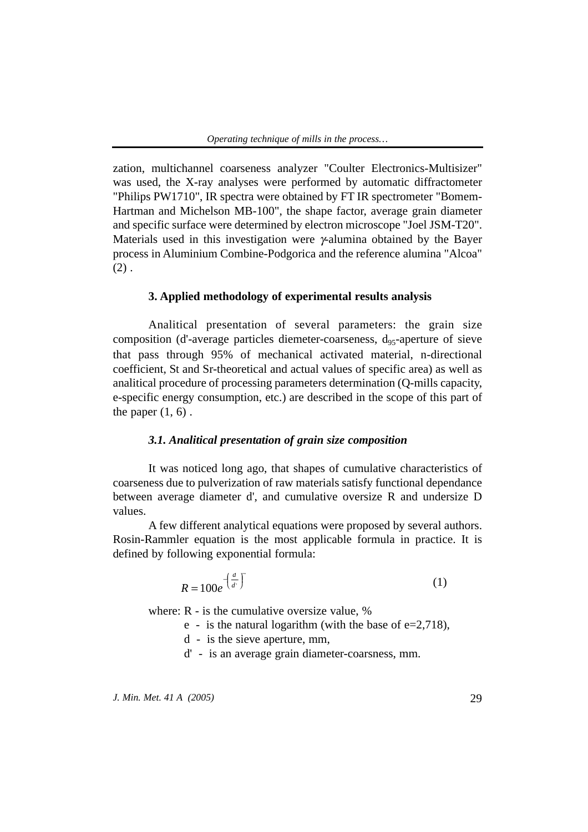zation, multichannel coarseness analyzer "Coulter Electronics-Multisizer" was used, the X-ray analyses were performed by automatic diffractometer "Philips PW1710", IR spectra were obtained by FT IR spectrometer "Bomem-Hartman and Michelson MB-100", the shape factor, average grain diameter and specific surface were determined by electron microscope "Joel JSM-T20". Materials used in this investigation were γ-alumina obtained by the Bayer process in Aluminium Combine-Podgorica and the reference alumina "Alcoa"  $(2)$ .

## **3. Applied methodology of experimental results analysis**

Analitical presentation of several parameters: the grain size composition (d'-average particles diemeter-coarseness,  $d_{95}$ -aperture of sieve that pass through 95% of mechanical activated material, n-directional coefficient, St and Sr-theoretical and actual values of specific area) as well as analitical procedure of processing parameters determination (Q-mills capacity, e-specific energy consumption, etc.) are described in the scope of this part of the paper  $(1, 6)$ .

## *3.1. Analitical presentation of grain size composition*

It was noticed long ago, that shapes of cumulative characteristics of coarseness due to pulverization of raw materials satisfy functional dependance between average diameter d', and cumulative oversize R and undersize D values.

A few different analytical equations were proposed by several authors. Rosin-Rammler equation is the most applicable formula in practice. It is defined by following exponential formula:

$$
R = 100e^{-\left(\frac{d}{d}\right)^{t}}
$$
 (1)

where: R - is the cumulative oversize value, %

- e is the natural logarithm (with the base of  $e=2,718$ ),
- d is the sieve aperture, mm,
- d' is an average grain diameter-coarsness, mm.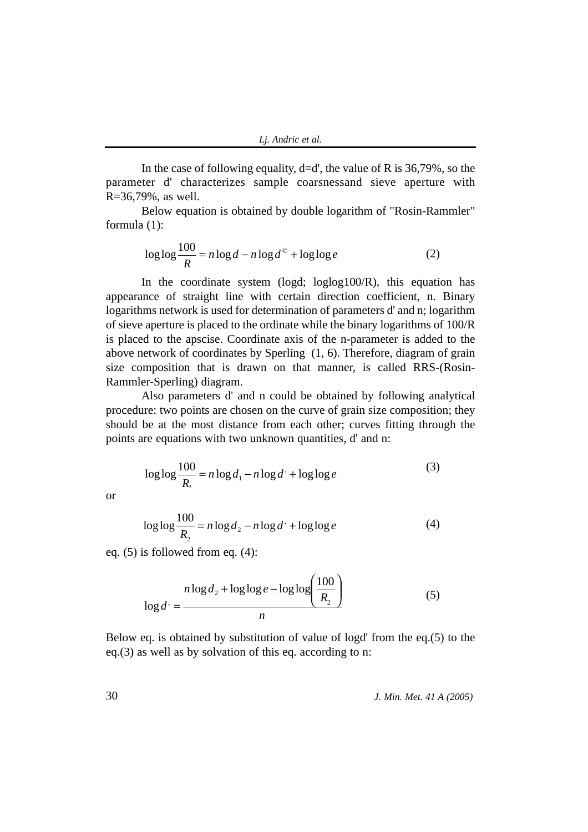In the case of following equality,  $d=d'$ , the value of R is 36,79%, so the parameter d' characterizes sample coarsnessand sieve aperture with R=36,79%, as well.

Below equation is obtained by double logarithm of "Rosin-Rammler" formula (1):

$$
\log \log \frac{100}{R} = n \log d - n \log d^{\circ} + \log \log e \tag{2}
$$

In the coordinate system (logd; loglog100/R), this equation has appearance of straight line with certain direction coefficient, n. Binary logarithms network is used for determination of parameters d' and n; logarithm of sieve aperture is placed to the ordinate while the binary logarithms of 100/R is placed to the apscise. Coordinate axis of the n-parameter is added to the above network of coordinates by Sperling (1, 6). Therefore, diagram of grain size composition that is drawn on that manner, is called RRS-(Rosin-Rammler-Sperling) diagram.

Also parameters d' and n could be obtained by following analytical procedure: two points are chosen on the curve of grain size composition; they should be at the most distance from each other; curves fitting through the points are equations with two unknown quantities, d' and n:

$$
\log \log \frac{100}{R_1} = n \log d_1 - n \log d + \log \log e \tag{3}
$$

$$
\log \log \frac{100}{R_2} = n \log d_2 - n \log d' + \log \log e \tag{4}
$$

eq. (5) is followed from eq. (4):

$$
n\log d_2 + \log\log e - \log\log\left(\frac{100}{R_2}\right) \tag{5}
$$

Below eq. is obtained by substitution of value of logd' from the eq.(5) to the eq.(3) as well as by solvation of this eq. according to n:

*J. Min. Met. 41 A (2005)*

or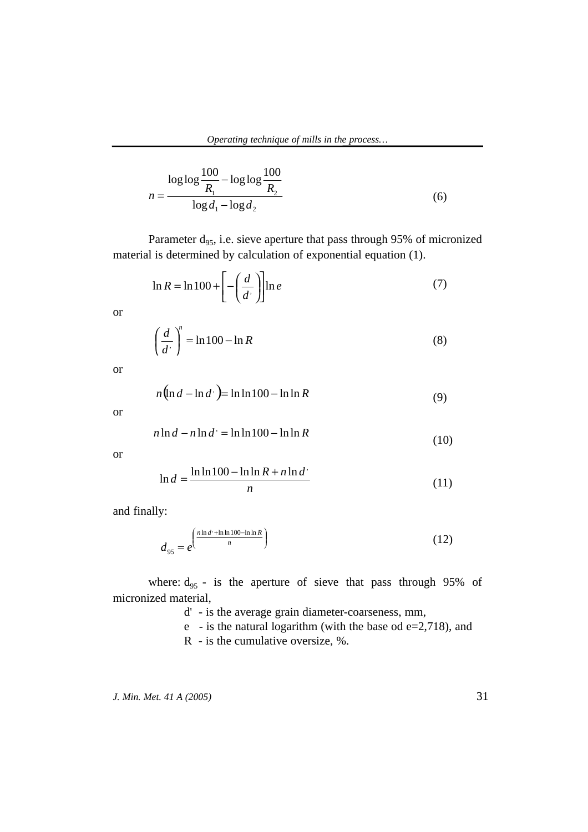$$
n = \frac{\log \log \frac{100}{R_1} - \log \log \frac{100}{R_2}}{\log d_1 - \log d_2}
$$
(6)

Parameter  $d_{95}$ , i.e. sieve aperture that pass through 95% of micronized material is determined by calculation of exponential equation (1).

$$
\ln R = \ln 100 + \left[ -\left(\frac{d}{d}\right) \right] \ln e \tag{7}
$$

or

$$
\left(\frac{d}{d'}\right)^n = \ln 100 - \ln R\tag{8}
$$

or

$$
n(\ln d - \ln d) = \ln \ln 100 - \ln \ln R
$$
 (9)

or

$$
n\ln d - n\ln d' = \ln \ln 100 - \ln \ln R
$$
\n(10)

or

$$
\ln d = \frac{\ln \ln 100 - \ln \ln R + n \ln d}{n} \tag{11}
$$

and finally:

$$
d_{95} = e^{\left(\frac{n\ln d' + \ln\ln 100 - \ln\ln R}{n}\right)}
$$
\n(12)

where:  $d_{95}$  - is the aperture of sieve that pass through 95% of micronized material,

d' - is the average grain diameter-coarseness, mm,

e - is the natural logarithm (with the base od  $e=2,718$ ), and

R - is the cumulative oversize, %.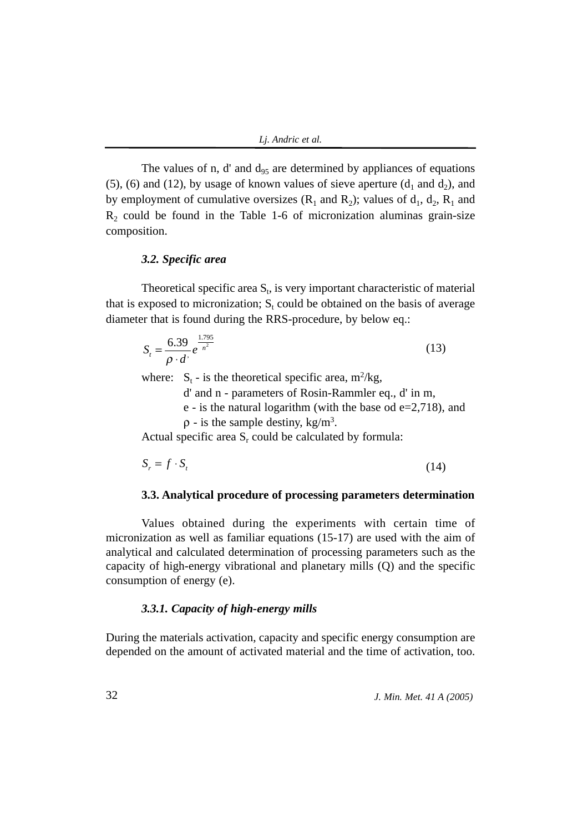The values of n, d' and  $d_{95}$  are determined by appliances of equations (5), (6) and (12), by usage of known values of sieve aperture  $(d_1 \text{ and } d_2)$ , and by employment of cumulative oversizes  $(R_1 \text{ and } R_2)$ ; values of  $d_1$ ,  $d_2$ ,  $R_1$  and  $R<sub>2</sub>$  could be found in the Table 1-6 of micronization aluminas grain-size composition.

## *3.2. Specific area*

Theoretical specific area  $S_t$ , is very important characteristic of material that is exposed to micronization;  $S_t$  could be obtained on the basis of average diameter that is found during the RRS-procedure, by below eq.:

$$
S_t = \frac{6.39}{\rho \cdot d} e^{\frac{1.795}{n^2}}
$$
 (13)

where:  $S_t$  - is the theoretical specific area, m<sup>2</sup>/kg,

d' and n - parameters of Rosin-Rammler eq., d' in m,

e - is the natural logarithm (with the base od  $e=2,718$ ), and

 $\rho$  - is the sample destiny, kg/m<sup>3</sup>.

Actual specific area  $S_r$  could be calculated by formula:

$$
S_r = f \cdot S_t \tag{14}
$$

## **3.3. Analytical procedure of processing parameters determination**

Values obtained during the experiments with certain time of micronization as well as familiar equations (15-17) are used with the aim of analytical and calculated determination of processing parameters such as the capacity of high-energy vibrational and planetary mills (Q) and the specific consumption of energy (e).

## *3.3.1. Capacity of high-energy mills*

During the materials activation, capacity and specific energy consumption are depended on the amount of activated material and the time of activation, too.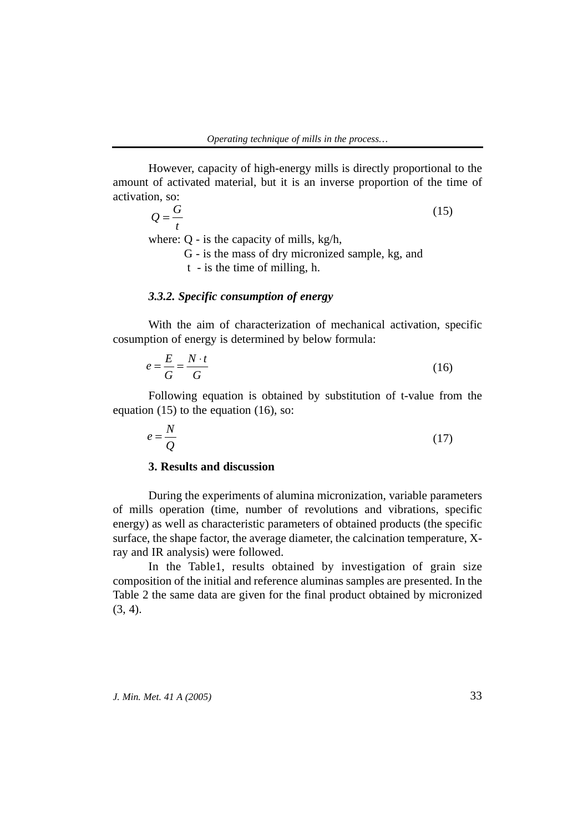However, capacity of high-energy mills is directly proportional to the amount of activated material, but it is an inverse proportion of the time of activation, so:

(15) where: Q - is the capacity of mills, kg/h, G - is the mass of dry micronized sample, kg, and t - is the time of milling, h. *t*  $Q = \frac{G}{A}$ 

## *3.3.2. Specific consumption of energy*

With the aim of characterization of mechanical activation, specific cosumption of energy is determined by below formula:

$$
e = \frac{E}{G} = \frac{N \cdot t}{G} \tag{16}
$$

Following equation is obtained by substitution of t-value from the equation  $(15)$  to the equation  $(16)$ , so:

$$
e = \frac{N}{Q} \tag{17}
$$

# **3. Results and discussion**

During the experiments of alumina micronization, variable parameters of mills operation (time, number of revolutions and vibrations, specific energy) as well as characteristic parameters of obtained products (the specific surface, the shape factor, the average diameter, the calcination temperature, Xray and IR analysis) were followed.

In the Table1, results obtained by investigation of grain size composition of the initial and reference aluminas samples are presented. In the Table 2 the same data are given for the final product obtained by micronized (3, 4).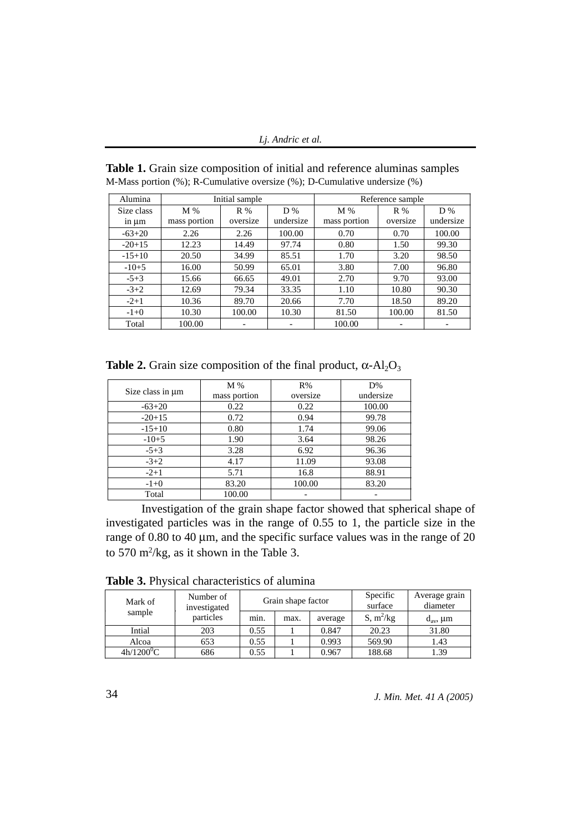*Lj. Andric et al.*

| Alumina    |              | Initial sample           |           | Reference sample |          |           |  |
|------------|--------------|--------------------------|-----------|------------------|----------|-----------|--|
| Size class | M%           | R%                       | D%        | M%               | R %      | D%        |  |
| in $\mu$ m | mass portion | oversize                 | undersize | mass portion     | oversize | undersize |  |
| $-63+20$   | 2.26         | 2.26                     | 100.00    | 0.70             | 0.70     | 100.00    |  |
| $-20+15$   | 12.23        | 14.49                    | 97.74     | 0.80             | 1.50     | 99.30     |  |
| $-15+10$   | 20.50        | 34.99                    | 85.51     | 1.70             | 3.20     | 98.50     |  |
| $-10+5$    | 16.00        | 50.99                    | 65.01     | 3.80             | 7.00     | 96.80     |  |
| $-5+3$     | 15.66        | 66.65                    | 49.01     | 2.70             | 9.70     | 93.00     |  |
| $-3+2$     | 12.69        | 79.34                    | 33.35     | 1.10             | 10.80    | 90.30     |  |
| $-2+1$     | 10.36        | 89.70                    | 20.66     | 7.70             | 18.50    | 89.20     |  |
| $-1+0$     | 10.30        | 100.00                   | 10.30     | 81.50            | 100.00   | 81.50     |  |
| Total      | 100.00       | $\overline{\phantom{a}}$ |           | 100.00           | -        | -         |  |

**Table 1.** Grain size composition of initial and reference aluminas samples M-Mass portion (%); R-Cumulative oversize (%); D-Cumulative undersize (%)

**Table 2.** Grain size composition of the final product,  $\alpha$ -Al<sub>2</sub>O<sub>3</sub>

|                       | M%           | R%       | D%        |  |
|-----------------------|--------------|----------|-----------|--|
| Size class in $\mu$ m | mass portion | oversize | undersize |  |
| $-63+20$              | 0.22         | 0.22     | 100.00    |  |
| $-20+15$              | 0.72         | 0.94     | 99.78     |  |
| $-15+10$              | 0.80         | 1.74     | 99.06     |  |
| $-10+5$               | 1.90         | 3.64     | 98.26     |  |
| $-5+3$                | 3.28         | 6.92     | 96.36     |  |
| $-3+2$                | 4.17         | 11.09    | 93.08     |  |
| $-2+1$                | 5.71         | 16.8     | 88.91     |  |
| $-1+0$                | 83.20        | 100.00   | 83.20     |  |
| Total                 | 100.00       |          |           |  |

Investigation of the grain shape factor showed that spherical shape of investigated particles was in the range of 0.55 to 1, the particle size in the range of 0.80 to 40 µm, and the specific surface values was in the range of 20 to 570 m<sup>2</sup>/kg, as it shown in the Table 3.

**Table 3.** Physical characteristics of alumina

| Mark of      | Number of<br>investigated | Grain shape factor |      |         | Specific<br>surface | Average grain<br>diameter |  |
|--------------|---------------------------|--------------------|------|---------|---------------------|---------------------------|--|
| sample       | particles                 | min.               | max. | average | $S, m^2/kg$         | $d_{av}$ , $\mu$ m        |  |
| Intial       | 203                       | 0.55               |      | 0.847   | 20.23               | 31.80                     |  |
| Alcoa        | 653                       | 0.55               |      | 0.993   | 569.90              | 1.43                      |  |
| $4h/1200^0C$ | 686                       | 0.55               |      | 0.967   | 188.68              | 1.39                      |  |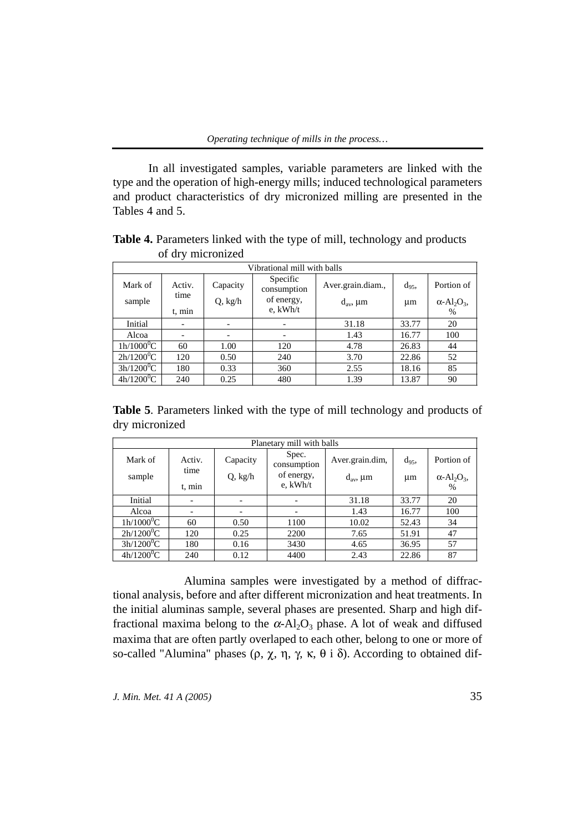In all investigated samples, variable parameters are linked with the type and the operation of high-energy mills; induced technological parameters and product characteristics of dry micronized milling are presented in the Tables 4 and 5.

| $\sigma$ and $\sigma$ intervalsed |                |          |                          |                    |          |                                            |  |  |  |
|-----------------------------------|----------------|----------|--------------------------|--------------------|----------|--------------------------------------------|--|--|--|
| Vibrational mill with balls       |                |          |                          |                    |          |                                            |  |  |  |
| Mark of                           | Activ.<br>time | Capacity | Specific<br>consumption  | Aver.grain.diam.,  | $d_{95}$ | Portion of                                 |  |  |  |
| sample                            |                | Q, kg/h  | of energy,               | $d_{av}$ , $\mu$ m | um       | $\alpha$ -Al <sub>2</sub> O <sub>3</sub> , |  |  |  |
|                                   | t, min         |          | e, kWh/t                 |                    |          | %                                          |  |  |  |
| Initial                           |                |          | $\overline{\phantom{a}}$ | 31.18              | 33.77    | 20                                         |  |  |  |
| Alcoa                             |                |          | $\overline{\phantom{0}}$ | 1.43               | 16.77    | 100                                        |  |  |  |
| $1h/1000^0C$                      | 60             | 1.00     | 120                      | 4.78               | 26.83    | 44                                         |  |  |  |
| $2h/1200^0C$                      | 120            | 0.50     | 240                      | 3.70               | 22.86    | 52                                         |  |  |  |
| $3h/1200^0C$                      | 180            | 0.33     | 360                      | 2.55               | 18.16    | 85                                         |  |  |  |
| $4h/1200^0C$                      | 240            | 0.25     | 480                      | 1.39               | 13.87    | 90                                         |  |  |  |

**Table 4.** Parameters linked with the type of mill, technology and products of dry micronized

**Table 5**. Parameters linked with the type of mill technology and products of dry micronized

| Planetary mill with balls |                              |                              |                      |                    |          |                                            |  |  |  |
|---------------------------|------------------------------|------------------------------|----------------------|--------------------|----------|--------------------------------------------|--|--|--|
| Mark of                   | Activ.                       | Capacity                     | Spec.<br>consumption | Aver.grain.dim,    | $d_{95}$ | Portion of                                 |  |  |  |
| sample                    | time                         | Q, kg/h                      | of energy,           | $d_{av}$ , $\mu$ m | μm       | $\alpha$ -Al <sub>2</sub> O <sub>3</sub> , |  |  |  |
|                           | t, min                       |                              | e, kWh/t             |                    |          | %                                          |  |  |  |
| Initial                   | $\qquad \qquad \blacksquare$ | $\overline{\phantom{a}}$     | -                    | 31.18              | 33.77    | 20                                         |  |  |  |
| Alcoa                     | $\overline{\phantom{a}}$     | $\qquad \qquad \blacksquare$ |                      | 1.43               | 16.77    | 100                                        |  |  |  |
| $1h/1000^0C$              | 60                           | 0.50                         | 1100                 | 10.02              | 52.43    | 34                                         |  |  |  |
| $2h/1200^0C$              | 120                          | 0.25                         | 2200                 | 7.65               | 51.91    | 47                                         |  |  |  |
| $3h/1200^0C$              | 180                          | 0.16                         | 3430                 | 4.65               | 36.95    | 57                                         |  |  |  |
| $4h/1200^0C$              | 240                          | 0.12                         | 4400                 | 2.43               | 22.86    | 87                                         |  |  |  |

Alumina samples were investigated by a method of diffractional analysis, before and after different micronization and heat treatments. In the initial aluminas sample, several phases are presented. Sharp and high diffractional maxima belong to the  $\alpha$ -Al<sub>2</sub>O<sub>3</sub> phase. A lot of weak and diffused maxima that are often partly overlaped to each other, belong to one or more of so-called "Alumina" phases (ρ, χ, η, γ, κ, θ i δ). According to obtained dif-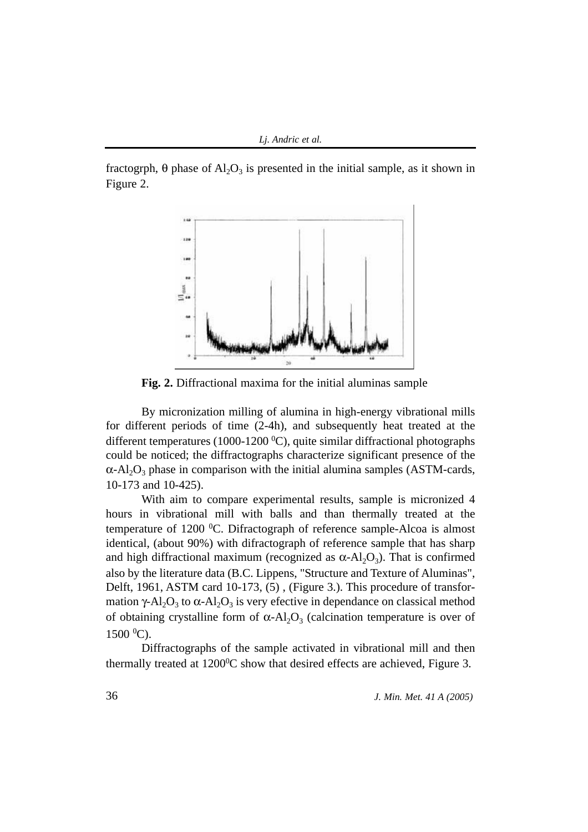fractogrph,  $\theta$  phase of Al<sub>2</sub>O<sub>3</sub> is presented in the initial sample, as it shown in Figure 2.



**Fig. 2.** Diffractional maxima for the initial aluminas sample

By micronization milling of alumina in high-energy vibrational mills for different periods of time (2-4h), and subsequently heat treated at the different temperatures (1000-1200 °C), quite similar diffractional photographs could be noticed; the diffractographs characterize significant presence of the  $\alpha$ -Al<sub>2</sub>O<sub>3</sub> phase in comparison with the initial alumina samples (ASTM-cards, 10-173 and 10-425).

With aim to compare experimental results, sample is micronized 4 hours in vibrational mill with balls and than thermally treated at the temperature of 1200 °C. Difractograph of reference sample-Alcoa is almost identical, (about 90%) with difractograph of reference sample that has sharp and high diffractional maximum (recognized as  $\alpha$ -Al<sub>2</sub>O<sub>3</sub>). That is confirmed also by the literature data (B.C. Lippens, "Structure and Texture of Aluminas", Delft, 1961, ASTM card 10-173, (5) , (Figure 3.). This procedure of transformation γ-Al<sub>2</sub>O<sub>3</sub> to α-Al<sub>2</sub>O<sub>3</sub> is very efective in dependance on classical method of obtaining crystalline form of  $\alpha$ -Al<sub>2</sub>O<sub>3</sub> (calcination temperature is over of 1500 0 C).

Diffractographs of the sample activated in vibrational mill and then thermally treated at  $1200^{\circ}$ C show that desired effects are achieved, Figure 3.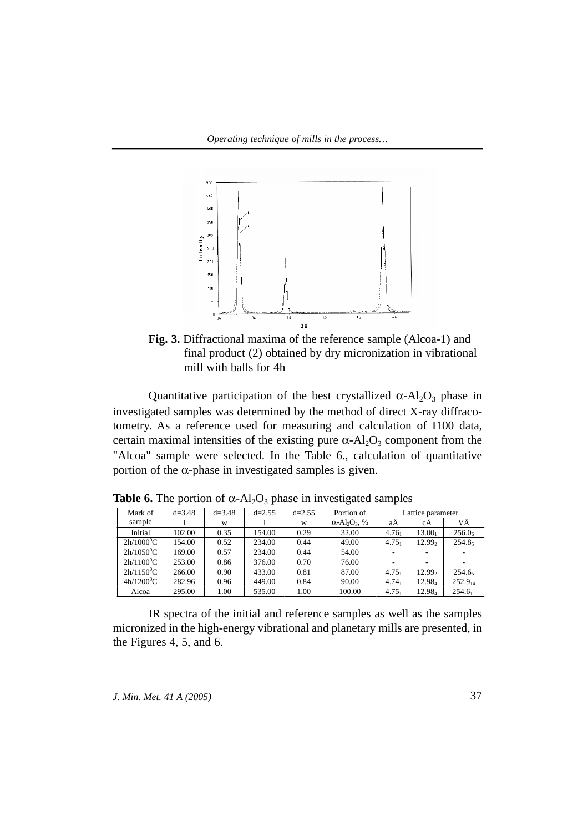

**Fig. 3.** Diffractional maxima of the reference sample (Alcoa-1) and final product (2) obtained by dry micronization in vibrational mill with balls for 4h

Quantitative participation of the best crystallized  $\alpha$ -Al<sub>2</sub>O<sub>3</sub> phase in investigated samples was determined by the method of direct X-ray diffracotometry. As a reference used for measuring and calculation of I100 data, certain maximal intensities of the existing pure  $\alpha$ -Al<sub>2</sub>O<sub>3</sub> component from the "Alcoa" sample were selected. In the Table 6., calculation of quantitative portion of the α-phase in investigated samples is given.

| Mark of      | $d = 3.48$ | $d = 3.48$ | $d=2.55$ | $d=2.55$ | Portion of                                   | Lattice parameter        |                    |                     |
|--------------|------------|------------|----------|----------|----------------------------------------------|--------------------------|--------------------|---------------------|
| sample       |            | W          |          | W        | $\alpha$ -Al <sub>2</sub> O <sub>3</sub> , % | aA                       | сA                 | VĂ                  |
| Initial      | 102.00     | 0.35       | 154.00   | 0.29     | 32.00                                        | $4.76_1$                 | 13.00              | 256.0 <sub>6</sub>  |
| $2h/1000^0C$ | 154.00     | 0.52       | 234.00   | 0.44     | 49.00                                        | $4.75_1$                 | 12.99 <sub>2</sub> | 254.85              |
| $2h/1050^0C$ | 169.00     | 0.57       | 234.00   | 0.44     | 54.00                                        | ٠                        | ۰                  |                     |
| $2h/1100^0C$ | 253.00     | 0.86       | 376.00   | 0.70     | 76.00                                        | $\overline{\phantom{a}}$ |                    |                     |
| $2h/1150^0C$ | 266.00     | 0.90       | 433.00   | 0.81     | 87.00                                        | $4.75_1$                 | 12.99 <sub>2</sub> | 254.6 <sub>6</sub>  |
| $4h/1200^0C$ | 282.96     | 0.96       | 449.00   | 0.84     | 90.00                                        | $4.74_1$                 | 12.98.             | $252.9_{14}$        |
| Alcoa        | 295.00     | 1.00       | 535.00   | 1.00     | 100.00                                       | $4.75_1$                 | 12.984             | 254.6 <sub>11</sub> |

**Table 6.** The portion of  $\alpha$ -Al<sub>2</sub>O<sub>3</sub> phase in investigated samples

IR spectra of the initial and reference samples as well as the samples micronized in the high-energy vibrational and planetary mills are presented, in the Figures 4, 5, and 6.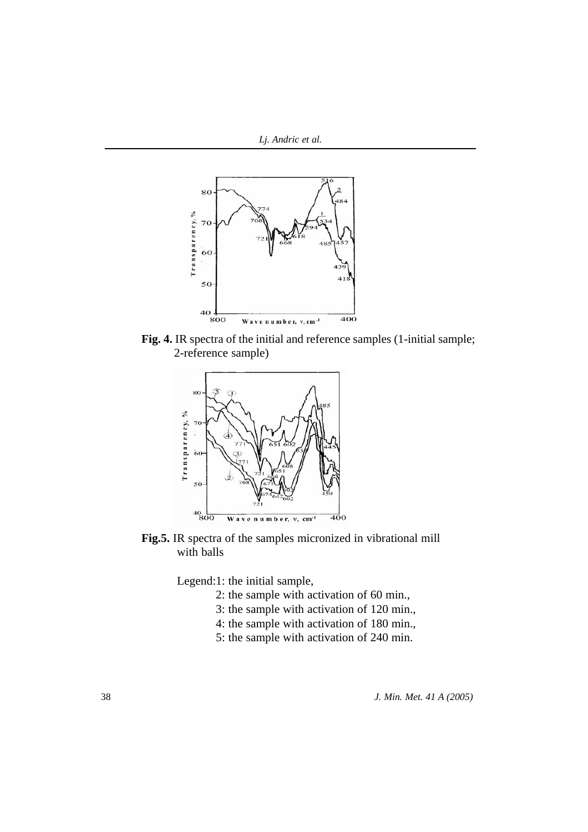

Fig. 4. IR spectra of the initial and reference samples (1-initial sample; 2-reference sample)



**Fig.5.** IR spectra of the samples micronized in vibrational mill with balls

Legend:1: the initial sample,

- 2: the sample with activation of 60 min.,
- 3: the sample with activation of 120 min.,
- 4: the sample with activation of 180 min.,
- 5: the sample with activation of 240 min.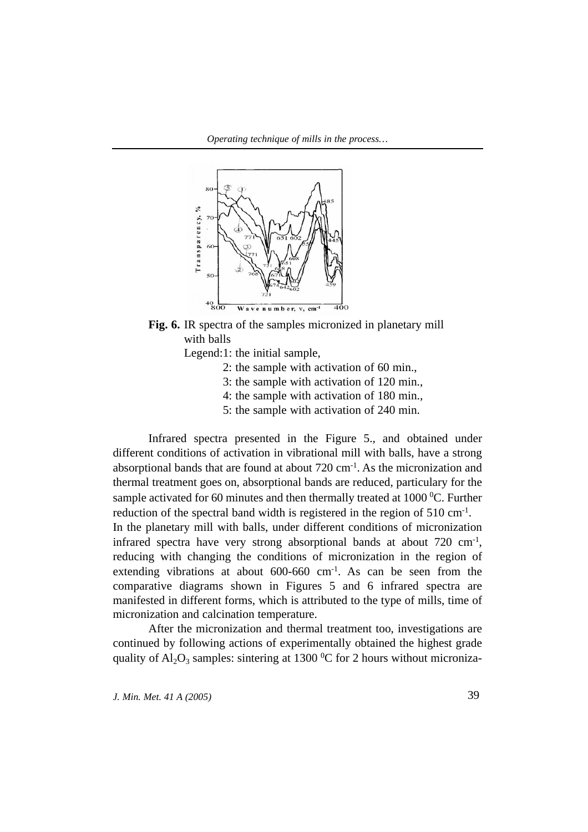



Legend:1: the initial sample,

- 2: the sample with activation of 60 min.,
- 3: the sample with activation of 120 min.,
- 4: the sample with activation of 180 min.,
- 5: the sample with activation of 240 min.

Infrared spectra presented in the Figure 5., and obtained under different conditions of activation in vibrational mill with balls, have a strong absorptional bands that are found at about  $720 \text{ cm}^{-1}$ . As the micronization and thermal treatment goes on, absorptional bands are reduced, particulary for the sample activated for 60 minutes and then thermally treated at  $1000\,^0C$ . Further reduction of the spectral band width is registered in the region of 510 cm<sup>-1</sup>. In the planetary mill with balls, under different conditions of micronization infrared spectra have very strong absorptional bands at about  $720 \text{ cm}^{-1}$ , reducing with changing the conditions of micronization in the region of extending vibrations at about  $600-660$  cm<sup>-1</sup>. As can be seen from the comparative diagrams shown in Figures 5 and 6 infrared spectra are manifested in different forms, which is attributed to the type of mills, time of micronization and calcination temperature.

After the micronization and thermal treatment too, investigations are continued by following actions of experimentally obtained the highest grade quality of  $\text{Al}_2\text{O}_3$  samples: sintering at 1300 °C for 2 hours without microniza-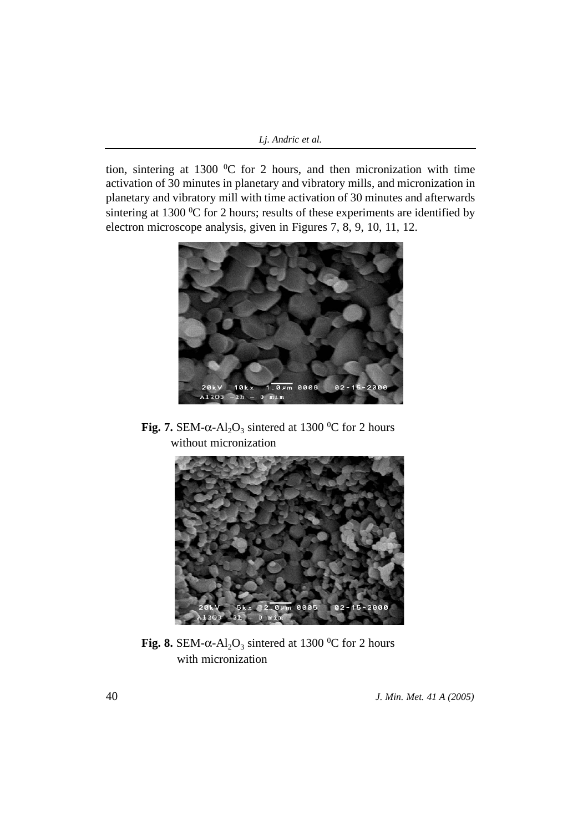tion, sintering at 1300  $\rm{^0C}$  for 2 hours, and then micronization with time activation of 30 minutes in planetary and vibratory mills, and micronization in planetary and vibratory mill with time activation of 30 minutes and afterwards sintering at 1300  $\rm{^0C}$  for 2 hours; results of these experiments are identified by electron microscope analysis, given in Figures 7, 8, 9, 10, 11, 12.



**Fig. 7.** SEM- $\alpha$ -Al<sub>2</sub>O<sub>3</sub> sintered at 1300 <sup>o</sup>C for 2 hours without micronization



Fig. 8. SEM- $\alpha$ -Al<sub>2</sub>O<sub>3</sub> sintered at 1300 <sup>o</sup>C for 2 hours with micronization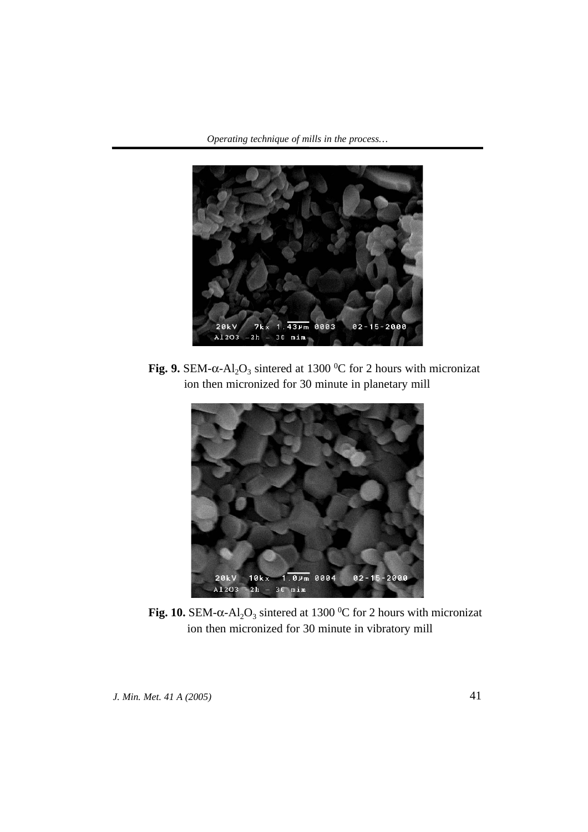

**Fig. 9.** SEM- $α$ -Al<sub>2</sub>O<sub>3</sub> sintered at 1300 <sup>o</sup>C for 2 hours with micronizat ion then micronized for 30 minute in planetary mill



**Fig. 10.** SEM- $\alpha$ -Al<sub>2</sub>O<sub>3</sub> sintered at 1300 <sup>o</sup>C for 2 hours with micronizat ion then micronized for 30 minute in vibratory mill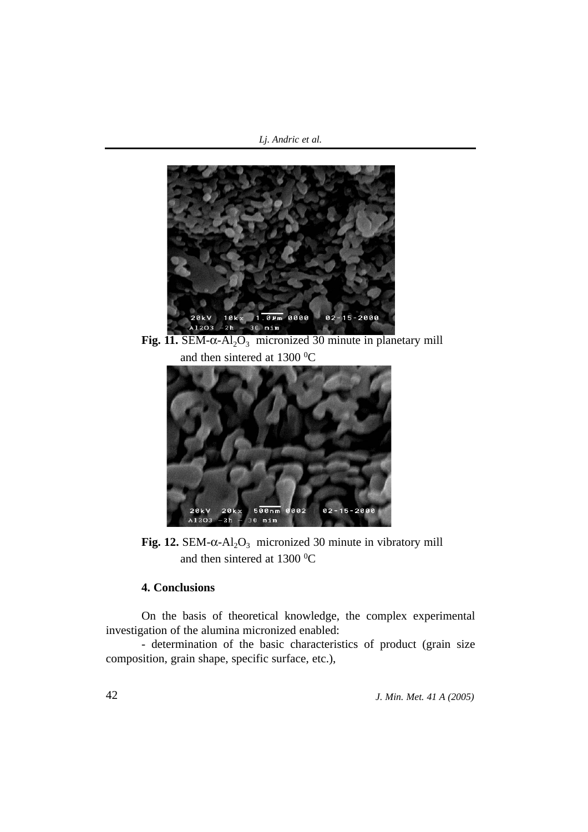*Lj. Andric et al.*



and then sintered at  $1300\text{ °C}$ 



**Fig. 12.** SEM- $\alpha$ -Al<sub>2</sub>O<sub>3</sub> micronized 30 minute in vibratory mill and then sintered at  $1300\text{ °C}$ 

# **4. Conclusions**

On the basis of theoretical knowledge, the complex experimental investigation of the alumina micronized enabled:

- determination of the basic characteristics of product (grain size composition, grain shape, specific surface, etc.),